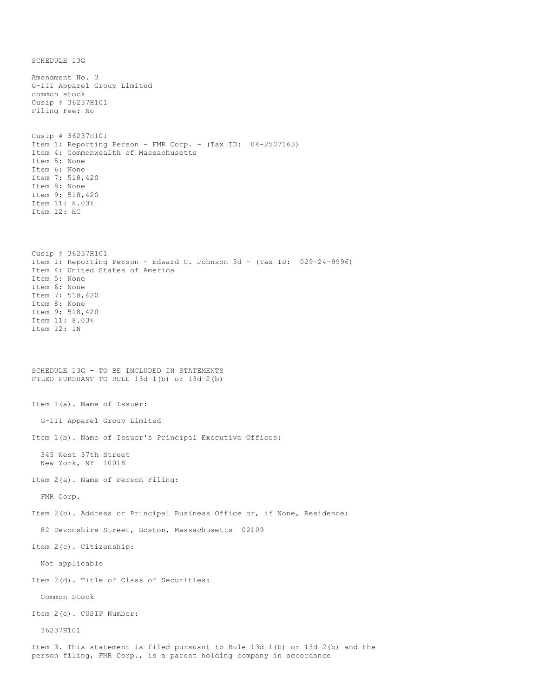SCHEDULE 13G Amendment No. 3 G-III Apparel Group Limited common stock Cusip # 36237H101 Filing Fee: No Cusip # 36237H101 Item 1: Reporting Person - FMR Corp. - (Tax ID: 04-2507163) Item 4: Commonwealth of Massachusetts Item 5: None Item 6: None Item 7: 518,420 Item 8: None Item 9: 518,420 Item 11: 8.03% Item 12: HC Cusip # 36237H101 Item 1: Reporting Person - Edward C. Johnson 3d - (Tax ID: 029-24-9996) Item 4: United States of America Item 5: None Item 6: None Item 7: 518,420 Item 8: None Item 9: 518,420 Item 11: 8.03% Item 12: IN SCHEDULE 13G - TO BE INCLUDED IN STATEMENTS FILED PURSUANT TO RULE 13d-1(b) or 13d-2(b) Item 1(a). Name of Issuer: G-III Apparel Group Limited Item 1(b). Name of Issuer's Principal Executive Offices: 345 West 37th Street New York, NY 10018 Item 2(a). Name of Person Filing: FMR Corp. Item 2(b). Address or Principal Business Office or, if None, Residence: 82 Devonshire Street, Boston, Massachusetts 02109 Item 2(c). Citizenship: Not applicable Item 2(d). Title of Class of Securities: Common Stock Item 2(e). CUSIP Number: 36237H101 Item 3. This statement is filed pursuant to Rule 13d-1(b) or 13d-2(b) and the person filing, FMR Corp., is a parent holding company in accordance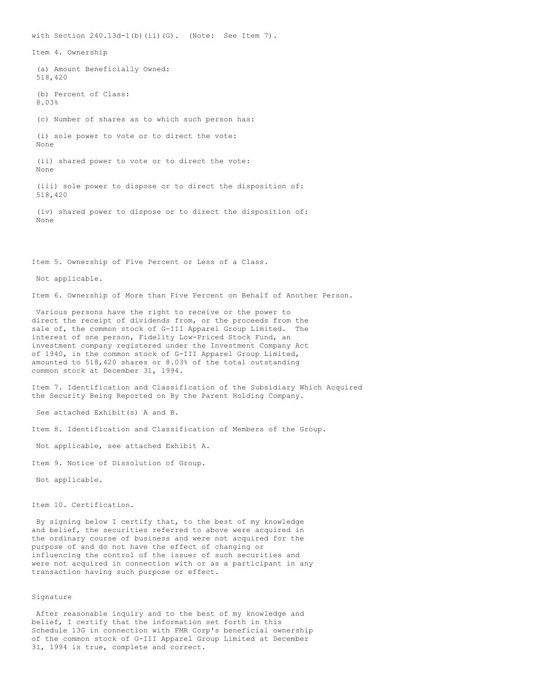with Section  $240.13d-1(b)$  (ii)(G). (Note: See Item 7). Item 4. Ownership (a) Amount Beneficially Owned: 518,420 (b) Percent of Class: 8.03% (c) Number of shares as to which such person has: (i) sole power to vote or to direct the vote: None (ii) shared power to vote or to direct the vote: None (iii) sole power to dispose or to direct the disposition of: 518,420 (iv) shared power to dispose or to direct the disposition of: None Item 5. Ownership of Five Percent or Less of a Class. Not applicable.

Item 6. Ownership of More than Five Percent on Behalf of Another Person.

Various persons have the right to receive or the power to direct the receipt of dividends from, or the proceeds from the sale of, the common stock of G-III Apparel Group Limited. The interest of one person, Fidelity Low-Priced Stock Fund, an investment company registered under the Investment Company Act of 1940, in the common stock of G-III Apparel Group Limited, amounted to 518,420 shares or 8.03% of the total outstanding common stock at December 31, 1994.

Item 7. Identification and Classification of the Subsidiary Which Acquired the Security Being Reported on By the Parent Holding Company.

See attached Exhibit(s) A and B.

Item 8. Identification and Classification of Members of the Group.

Not applicable, see attached Exhibit A.

Item 9. Notice of Dissolution of Group.

Not applicable.

Item 10. Certification.

By signing below I certify that, to the best of my knowledge and belief, the securities referred to above were acquired in the ordinary course of business and were not acquired for the purpose of and do not have the effect of changing or influencing the control of the issuer of such securities and were not acquired in connection with or as a participant in any transaction having such purpose or effect.

## Signature

After reasonable inquiry and to the best of my knowledge and belief, I certify that the information set forth in this Schedule 13G in connection with FMR Corp's beneficial ownership of the common stock of G-III Apparel Group Limited at December 31, 1994 is true, complete and correct.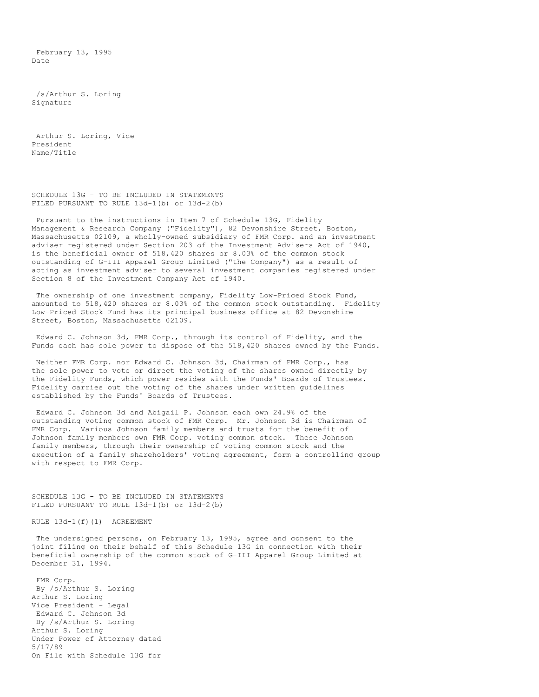February 13, 1995 Date

/s/Arthur S. Loring Signature

Arthur S. Loring, Vice President Name/Title

SCHEDULE 13G - TO BE INCLUDED IN STATEMENTS FILED PURSUANT TO RULE 13d-1(b) or 13d-2(b)

Pursuant to the instructions in Item 7 of Schedule 13G, Fidelity Management & Research Company ("Fidelity"), 82 Devonshire Street, Boston, Massachusetts 02109, a wholly-owned subsidiary of FMR Corp. and an investment adviser registered under Section 203 of the Investment Advisers Act of 1940, is the beneficial owner of 518,420 shares or 8.03% of the common stock outstanding of G-III Apparel Group Limited ("the Company") as a result of acting as investment adviser to several investment companies registered under Section 8 of the Investment Company Act of 1940.

The ownership of one investment company, Fidelity Low-Priced Stock Fund, amounted to 518,420 shares or 8.03% of the common stock outstanding. Fidelity Low-Priced Stock Fund has its principal business office at 82 Devonshire Street, Boston, Massachusetts 02109.

Edward C. Johnson 3d, FMR Corp., through its control of Fidelity, and the Funds each has sole power to dispose of the 518,420 shares owned by the Funds.

Neither FMR Corp. nor Edward C. Johnson 3d, Chairman of FMR Corp., has the sole power to vote or direct the voting of the shares owned directly by the Fidelity Funds, which power resides with the Funds' Boards of Trustees. Fidelity carries out the voting of the shares under written guidelines established by the Funds' Boards of Trustees.

Edward C. Johnson 3d and Abigail P. Johnson each own 24.9% of the outstanding voting common stock of FMR Corp. Mr. Johnson 3d is Chairman of FMR Corp. Various Johnson family members and trusts for the benefit of Johnson family members own FMR Corp. voting common stock. These Johnson family members, through their ownership of voting common stock and the execution of a family shareholders' voting agreement, form a controlling group with respect to FMR Corp.

SCHEDULE 13G - TO BE INCLUDED IN STATEMENTS FILED PURSUANT TO RULE 13d-1(b) or 13d-2(b)

RULE 13d-1(f)(1) AGREEMENT

The undersigned persons, on February 13, 1995, agree and consent to the joint filing on their behalf of this Schedule 13G in connection with their beneficial ownership of the common stock of G-III Apparel Group Limited at December 31, 1994.

FMR Corp. By /s/Arthur S. Loring Arthur S. Loring Vice President - Legal Edward C. Johnson 3d By /s/Arthur S. Loring Arthur S. Loring Under Power of Attorney dated 5/17/89 On File with Schedule 13G for